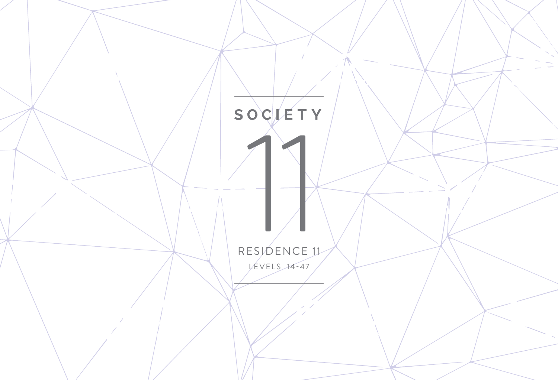